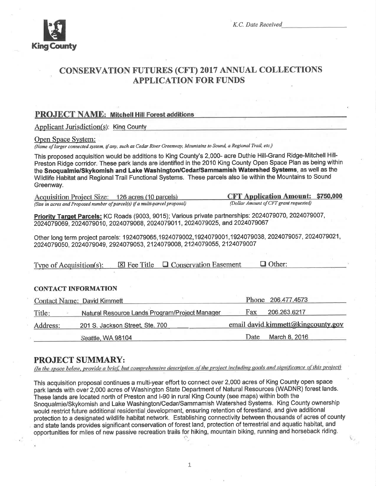

K.C. Date Received

## **CONSERVATION FUTURES (CFT) 2017 ANNUAL COLLECTIONS APPLICATION FOR FUNDS**

## **PROJECT NAME: Mitchell Hill Forest additions**

**Applicant Jurisdiction(s): King County** 

Open Space System:

(Name of larger connected system, if any, such as Cedar River Greenway, Mountains to Sound, a Regional Trail, etc.)

This proposed acquisition would be additions to King County's 2,000- acre Duthie Hill-Grand Ridge-Mitchell Hill-Preston Ridge corridor. These park lands are identified in the 2010 King County Open Space Plan as being within the Snoqualmie/Skykomish and Lake Washington/Cedar/Sammamish Watershed Systems, as well as the Wildlife Habitat and Regional Trail Functional Systems. These parcels also lie within the Mountains to Sound Greenway.

Acquisition Project Size: 126 acres (10 parcels) (Size in acres and Proposed number of parcel(s) if a multi-parcel proposal) **CFT Application Amount: \$750,000** (Dollar Amount of CFT grant requested)

Priority Target Parcels: KC Roads (9003, 9015); Various private partnerships: 2024079070. 2024079007. 2024079069, 2024079010, 2024079068, 2024079011, 2024079025, and 2024079067

Other long term project parcels: 1924079065.1924079002.1924079001.1924079038. 2024079057. 2024079021. 2024079050, 2024079049, 2924079053, 2124079008, 2124079055, 2124079007

| Type of Acquisition(s): | $\boxtimes$ Fee Title $\Box$ Conservation Easement | $\Box$ Other: |  |
|-------------------------|----------------------------------------------------|---------------|--|
|                         |                                                    |               |  |

## **CONTACT INFORMATION**

|          | Contact Name: David Kimmett                    |      | Phone 206.477.4573                 |
|----------|------------------------------------------------|------|------------------------------------|
| Title:   | Natural Resource Lands Program/Project Manager | Fax  | 206.263.6217                       |
| Address: | 201 S. Jackson Street, Ste. 700                |      | email david.kimmett@kingcounty.gov |
|          | Seattle, WA 98104                              | Date | March 8, 2016                      |

## **PROJECT SUMMARY:**

(In the space below, provide a brief, but comprehensive description of the project including goals and significance of this project)

This acquisition proposal continues a multi-year effort to connect over 2,000 acres of King County open space park lands with over 2,000 acres of Washington State Department of Natural Resources (WADNR) forest lands. These lands are located north of Preston and I-90 in rural King County (see maps) within both the Snoqualmie/Skykomish and Lake Washington/Cedar/Sammamish Watershed Systems. King County ownership would restrict future additional residential development, ensuring retention of forestland, and give additional protection to a designated wildlife habitat network. Establishing connectivity between thousands of acres of county and state lands provides significant conservation of forest land, protection of terrestrial and aquatic habitat, and opportunities for miles of new passive recreation trails for hiking, mountain biking, running and horseback riding.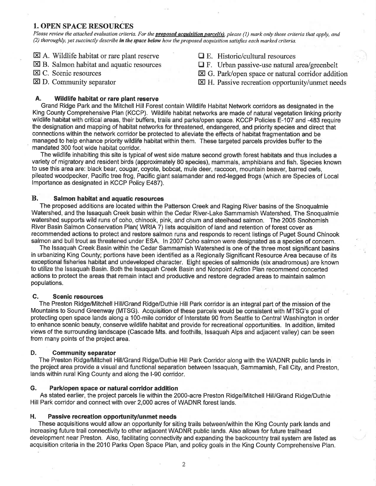## 1. OPEN SPACE RESOURCES

Please review the attached evaluation criteria. For the **proposed acquisition parcel(s)**, please (1) mark only those criteria that apply, and  $(2)$  thoroughly, yet succinctly describe in the space below how the proposed acquisition satisfies each marked criteria.

- $\boxtimes$  A. Wildlife habitat or rare plant reserve
- $\boxtimes$  B. Salmon habitat and aquatic resources
- E C. Scenic resources
- $\boxtimes$  D. Community separator
- $\Box$  E. Historic/cultural resources
- $\Box$  F. Urban passive-use natural area/greenbelt
- $\boxtimes$  G. Park/open space or natural corridor addition
- $\boxtimes$  H. Passive recreation opportunity/unmet needs

## A. Wildlife habitat or rare plant reserve

Grand Ridge Park and the Mitchell Hill Forest contain Wildlife Habitat Network corridors as designated in the King County Comprehensive Plan (KCCP). Wildlife habitat networks are made of natural vegetation linking priority wildlife habitat with critical areas, their buffers, trails and parks/open space. KCCP Policies E-107 and -483 require the designation and mapping of habitat networks for threatened, endangered, and priority species and direct that connections within the network corridor be protected to alleviate the effects of habitat fragmentation and be managed to help enhance priority wildlife habitat within them. These targeted parcels provides buffer to the mandated 300 foot wide habitat corridor.

The wildlife inhabiting this site is typical of west side mature second growth forest habitats and thus includes a variety of migratory and resident birds (approximately 80 species), mammals, amphibians and fish. Species known to use this area are: black bear, cougar, coyote, bobcat, mule deer, raccoon, mountain beaver, barred owls, pileated woodpecker, Pacific tree frog, Pacific giant salamander and red-legged frogs (which are Species of Local lmportance as designated in KCCP Policy E487).

## B. Salmon habitat and aquatic resources

The proposed additions are located within the Patterson Creek and Raging River basins of the Snoqualmie Watershed, and the lssaquah Creek basin within the Cedar River-Lake Sammamish Watershed. The Snoqualmie watershed. supports wild runs of coho, chinook, pink, and chum and steelhead salmon. The 2005 Snohomish River Basin Salmon Conservation Plan( WRIA 7) lists acquisition of land and retention of forest cover as recommended actions to protect and restore salmon runs and responds to recent listings of Puget Sound Chinook salmon and bull trout as threatened under ESA. ln 2007 Coho salmon were designated as a species of concern.

The lssaquah Greek Basin within the Cedar Sammamish Watershed is one of the three most significant basins in urbanizing King County; portions have been identified as a Regionally Significant Resource Area because of its exceptional fisheries habitat and undeveloped character. Eight speeies of salmonids (six ahadromous) are known to utilize the lssaquah Basin. Both the lssaquah Creek Basin and Nonpoint Action Plan recommend concerted actions to protect the areas that remain intact and productive and restore degraded areas to maintain salmon populations.

### C. Scenic resources

The Preston Ridge/Mitchell Hill/Grand Rídge/Duthie Hill Park corridor is an integral part of-the mission of the Mountains to Sound Greenway (MTSG). Acquisition of these parcels would be consistent with MTSG's goal of protecting open space lands along a 1O0-mile corridor of lnterstate 90 from Seattle to Central Washington in order to enhance scenic beauty, conserve Wildlife habitat and provide for recreational opportunities. ln addition, limited views of the surrounding landscape (Cascade Mts. and foothills, lssaquah Alps and adjacent valley) can be seen from many points of the project area.

### D. Community separator

The Preston Rídge/Mitchell Hill/Grand Ridge/Duthie Hill Park Corridor along with the WADNR public lands in the project area provide a visual and functional separation between lssaquah, Sammamish, Fall City, and Preston, lands within rural King County and along the l-90 corridor.

## G. Park/open space or natural corridor addition

As stated earlier, the project parcels lie within the 2000-acre Preston Ridge/Mitchell Hill/Grand Ridge/Duthie Hill Park corridor and connect with over 2,000 acres of WADNR forest lands.

#### H. Passive recreation opportunity/unmet needs

These acquisitions would allow an opportunity for siting trails between/within the King County park lands and increasing future trail connectivity to other adjacent WADNR public lands. Also allows for future trailhead development near Preston. Also, facilitating connectivity and expanding the backcountry trail system are listed as acquisition criteria in the 2010 Parks Open Space Plan, and policy goals in the King County Comprehensive Plan.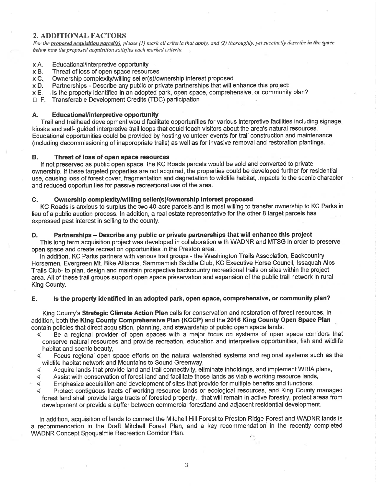## 2. ADDITIONAL FACTORS

For the **proposed acquisition parcel(s)**, please (1) mark all criteria that apply, and (2) thoroughly, yet succinctly describe in the space below how the proposed acquisition satisfies each marked criteria.

# $x$  A. Educational/interpretive opportunity  $x$  B. Threat of loss of open space resourc

- x B. Threat of loss of open space resources<br>x C. Ownership complexity/willing seller(s)/o
- $\times$  C. Ownership complexity/willing seller(s)/ownership interest proposed  $\times$  D. Partnerships Describe any public or private partnerships that will our
- $xD.$  Partnerships Describe any public or private partnerships that will enhance this project:<br> $xE.$  Is the property identified in an adopted park, open space, comprehensive, or community
- $x \to$  ls the property identified in an adopted park, open space, comprehensive, or community plan?<br> $\Box$  F. Transferable Development Credits (TDC) participation
- Transferable Development Credits (TDC) participation

## A. Educational/interpretive opportunlty

Trail and trailhead development would facilitate opportunities for various interpretive facilities including signage, kiosks and self- guided interpretive trail loops that could teach visitors about the area's natural resources. Educational opportunities could be provided by hosting volunteer events for trail construction and maintenance (including decommissioning of inappropriate trails) as well as for invasive removal and restoration plantings.

### B. Threat of loss of open space resources

lf not preserved as public open space, the KC Roads parcels would be sold and converted to private ownership. lf these targeted properties are not acquired, the properties could be developed further for residential use, causing loss of forest cover, fragmentation and degradation to wildlife habitat, impacts to the scenic character and reduced opportunities for passive recreational use of the area.

## G. Ownership complexity/willing seller(s)/ownership interest proposed

KC Roads is anxious to surplus the two 4O-acre parcels and is most willing to transfer ownership to KG Parks in lieu of a public auction process. ln addition, a real estate representative for the other 8 target parcels has expressed past interest in selling to the county.

### D. Partnerships - Describe any public or private partnerships that will enhance this project

This long term acquisition project was developed in collaboration with WADNR and MTSG in order to preserve open space and create recreation opportunities in the Preston area.

ln addition, KC Parks partners with various trail groups - the Washington Trails Association, Backcountry Horsemen, Evergreen Mt. Bike Alliance, Sammamish Saddle Club, KC Executive Horse Council, lssaquah Alps Trails Club- to plan, design and maintain prospective backcountry recreational trails on sites within the project area. All of these trail groups support open space preservation and expansion of the public trail network in rural King County.

## E, Is the property identified in an adopted park, open space, comprehensive, or community plan?

King County's Strategic Climate Action Plan calls for conservation and restoration of forest resources. In addition, both the King Gounty Comprehensive Plan (KGCP) and the 2016 King County Open Space PIan contain policies that direct acquisition, planning, and stewardship of public open space lands:<br>  $\ll$  Be a regional provider of open spaces with a major focus on systems of open space corridors that

- $\blacktriangleleft$ conserve natural resources and provide recreation, education and interpretive opportunities, fish and wildlife
- habitat and scenic beauty,<br>Focus regional open space efforts on the natural watershed systems and regional systems such as the  $\blacktriangleleft$
- wildlife habitat network and Mountains to Sound Greenway,<br>Acquire lands that provide land and trail connectivity, eliminate inholdings, and implement WRIA plans, ∢
- Assist with conservation of forest land and facilitate those lands as viable working resource lands,  $\blacktriangleleft$
- Emphasize acquisition and development of sites that provide for multiple benefits and functions.  $\blacktriangleleft$
- Protect contiquous tracts of working resource lands or ecological resources, and King County managed ₫ forest land shall provide large tracts of forested property... that will remain in active forestry, protect areas from development or provide a buffer between commercial forestland and adjacent residential development.

ln addition, acquisition of lands to connect the Mitchell Hill Forest to Preston Ridge Forest and WADNR lands is a recommendation in the Draft Mitchell Forest Plan, and a key recommendation in the recently completed WADNR Concept Snoqualmie Recreation Corridor Plan.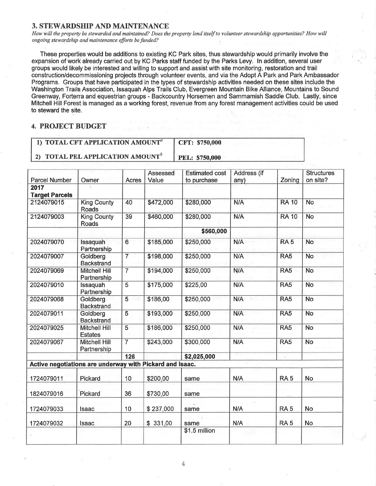### **3. STEWARDSHIP AND MAINTENANCE**

How will the property be stewarded and maintained? Does the property lend itself to volunteer stewardship opportunities? How will ongoing stewardship and maintenance efforts be funded?

These properties would be additions to existing KC Park sites, thus stewardship would primarily involve the expansion of work already carried out by KC Parks staff funded by the Parks Levy. In addition, several user groups would likely be interested and willing to support and assist with site monitoring, restoration and trail construction/decommissioning projects through volunteer events, and via the Adopt A Park and Park Ambassador Programs. Groups that have participated in the types of stewardship activities needed on these sites include the Washington Trails Association, Issaquah Alps Trails Club, Evergreen Mountain Bike Alliance, Mountains to Sound Greenway, Forterra and equestrian groups - Backcountry Horsemen and Sammamish Saddle Club. Lastly, since Mitchell Hill Forest is managed as a working forest, revenue from any forest management activities could be used to steward the site.

## **4. PROJECT BUDGET**

| 1) TOTAL CFT APPLICATION AMOUNT <sup>a</sup> | $\vert$ CFT: \$750,000 |
|----------------------------------------------|------------------------|
| 2) TOTAL PEL APPLICATION AMOUNT <sup>®</sup> | <b>PEL: \$750,000</b>  |

| <b>Parcel Number</b>                                     | Owner                                  | Acres          | Assessed<br>Value | <b>Estimated cost</b><br>to purchase | Address (if<br>any) | Zoning          | <b>Structures</b><br>on site? |
|----------------------------------------------------------|----------------------------------------|----------------|-------------------|--------------------------------------|---------------------|-----------------|-------------------------------|
| 2017<br><b>Target Parcels</b>                            |                                        |                |                   |                                      |                     |                 |                               |
| 2124079015                                               | <b>King County</b><br><b>Roads</b>     | 40             | \$472,000         | \$280,000                            | N/A                 | <b>RA 10</b>    | <b>No</b>                     |
| 2124079003                                               | <b>King County</b><br><b>Roads</b>     | 39             | \$460,000         | \$280,000                            | N/A                 | <b>RA 10</b>    | <b>No</b>                     |
|                                                          |                                        |                |                   | \$560,000                            |                     |                 |                               |
| 2024079070                                               | Issaquah<br>Partnership                | $\overline{6}$ | \$185,000         | \$250,000                            | N/A                 | RA <sub>5</sub> | <b>No</b>                     |
| 2024079007                                               | Goldberg<br><b>Backstrand</b>          | $\overline{7}$ | \$198,000         | \$250,000                            | N/A                 | RA <sub>5</sub> | <b>No</b>                     |
| 2024079069                                               | Mitchell Hill<br>Partnership           | $\overline{7}$ | \$194,000         | \$250,000                            | N/A                 | RA <sub>5</sub> | <b>No</b>                     |
| 2024079010                                               | Issaquah<br>Partnership                | $\overline{5}$ | \$175,000         | \$225,00                             | N/A                 | RA <sub>5</sub> | <b>No</b>                     |
| 2024079068                                               | Goldberg<br><b>Backstrand</b>          | $\overline{5}$ | \$186,00          | \$250,000                            | N/A<br>սա           | RA <sub>5</sub> | <b>No</b>                     |
| 2024079011                                               | Goldberg<br><b>Backstrand</b>          | $\overline{5}$ | \$193,000         | \$250,000                            | N/A                 | RA <sub>5</sub> | <b>No</b>                     |
| 2024079025                                               | <b>Mitchell Hill</b><br><b>Estates</b> | $\overline{5}$ | \$186,000         | \$250,000                            | N/A                 | RA <sub>5</sub> | <b>No</b>                     |
| 2024079067                                               | <b>Mitchell Hill</b><br>Partnership    | $\overline{7}$ | \$243,000         | \$300,000                            | N/A                 | RA <sub>5</sub> | <b>No</b>                     |
|                                                          |                                        | 126            |                   | \$2,025,000                          |                     |                 |                               |
| Active negotiations are underway with Pickard and Isaac. |                                        |                |                   |                                      |                     |                 |                               |
| 1724079011                                               | Pickard                                | 10             | \$200,00          | same                                 | N/A                 | RA <sub>5</sub> | <b>No</b>                     |
| 1824079016                                               | Pickard                                | 36             | \$730,00          | same                                 |                     |                 |                               |
| 1724079033                                               | <b>Isaac</b>                           | 10             | \$237,000         | same                                 | N/A                 | RA <sub>5</sub> | <b>No</b>                     |
| 1724079032                                               | <b>Isaac</b>                           | 20             | \$331,00          | same                                 | N/A                 | RA <sub>5</sub> | <b>No</b>                     |
|                                                          |                                        |                |                   | \$1.5 million                        |                     |                 |                               |

 $\overline{4}$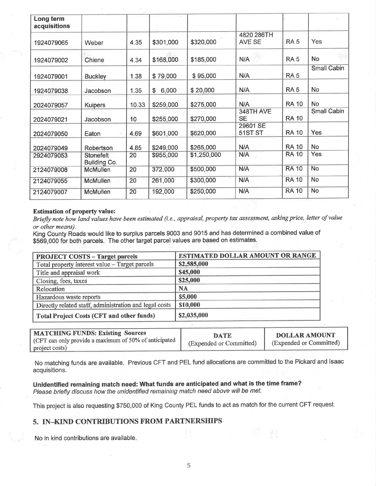| Long term<br>acquisitions |                           |       |             |             |                             |                 |                    |
|---------------------------|---------------------------|-------|-------------|-------------|-----------------------------|-----------------|--------------------|
| 1924079065                | Weber                     | 4.35  | \$301,000   | \$320,000   | 4820 286TH<br><b>AVE SE</b> | <b>RA 5</b>     | <b>Yes</b>         |
| 1924079002                | Chiene                    | 4.34  | \$168,000   | \$185,000   | N/A                         | <b>RA 5</b>     | <b>No</b>          |
| 1924079001                | <b>Buckley</b>            | 1.38  | \$79,000    | \$95,000    | N/A                         | RA <sub>5</sub> | Small Cabin        |
| 1924079038                | Jacobson                  | 1.35  | 6,000<br>\$ | \$20,000    | N/A                         | <b>RA 5</b>     | No                 |
| 2024079057                | <b>Kuipers</b>            | 10.33 | \$259,000   | \$275,000   | N/A                         | <b>RA 10</b>    | <b>No</b>          |
| 2024079021                | Jacobson                  | 10    | \$255,000   | \$270,000   | 348TH AVE<br><b>SE</b>      | <b>RA 10</b>    | <b>Small Cabin</b> |
| 2024079050                | Eaton                     | 4.69  | \$601,000   | \$620,000   | 29601 SE<br>51ST ST         | <b>RA 10</b>    | <b>Yes</b>         |
| 2024079049                | Robertson                 | 4.85  | \$249,000   | \$265,000   | N/A                         | <b>RA 10</b>    | No                 |
| 2924079053                | Stonefelt<br>Building Co. | 20    | \$955,000   | \$1,250,000 | N/A                         | <b>RA 10</b>    | <b>Yes</b>         |
| 2124079008                | McMullen                  | 20    | 372,000     | \$500,000   | N/A                         | <b>RA 10</b>    | <b>No</b>          |
| 2124079055                | <b>McMullen</b>           | 20    | 261,000     | \$300,000   | N/A                         | <b>RA 10</b>    | No                 |
| 2124079007                | <b>McMullen</b>           | 20    | 192,000     | \$250,000   | N/A                         | <b>RA 10</b>    | <b>No</b>          |

### Estimation of property value:

Briefly note how land values have been estimated (i.e., appraisal, property tax assessment, asking price, letter of value or other means).

King County Roads would like to surplus parcels 9003 and 9015 and has determined a combined value of \$569,000 for both parcels. The other target parcel values are based on estimates.

| <b>PROJECT COSTS - Target parcels</b>                  | <b>ESTIMATED DOLLAR AMOUNT OR RANGE</b> |
|--------------------------------------------------------|-----------------------------------------|
| Total property interest value - Target parcels         | \$2,585,000                             |
| Title and appraisal work                               | \$45,000                                |
| Closing, fees, taxes                                   | \$25,000                                |
| Relocation                                             | <b>NA</b>                               |
| Hazardous waste reports                                | \$5,000                                 |
| Directly related staff, administration and legal costs | \$10,000                                |
| Total Project Costs (CFT and other funds)              | \$2,035,000                             |

| (CFT can only provide a maximum of 50% of anticipated $\overline{\phantom{a}}$<br>project costs) | <b>DOLLAR AMOUNT</b><br><b>DATE</b><br>(Expended or Committed)<br>(Expended or Committed) |  |
|--------------------------------------------------------------------------------------------------|-------------------------------------------------------------------------------------------|--|
|--------------------------------------------------------------------------------------------------|-------------------------------------------------------------------------------------------|--|

No matching funds are available. Previous CFT and PEL fund allocations are committed to the Pickard and lsaac acquisitions.

Unidentified remaining match need: What funds are anticipated and what is the time frame? Please briefty discuss how the unidentified remaining match need above will be met.

This project is also requesting \$750,000 of King County PEL funds to act as match for the current CFT request.

## 5. IN-KIND CONTRIBUTIONS FROM PARTNERSHIPS

No in kind contributions are available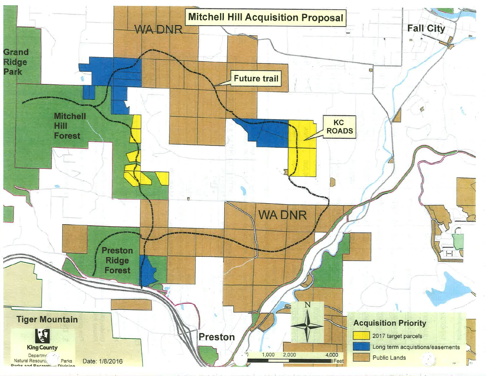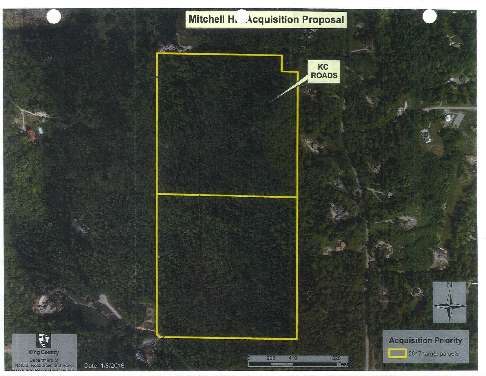